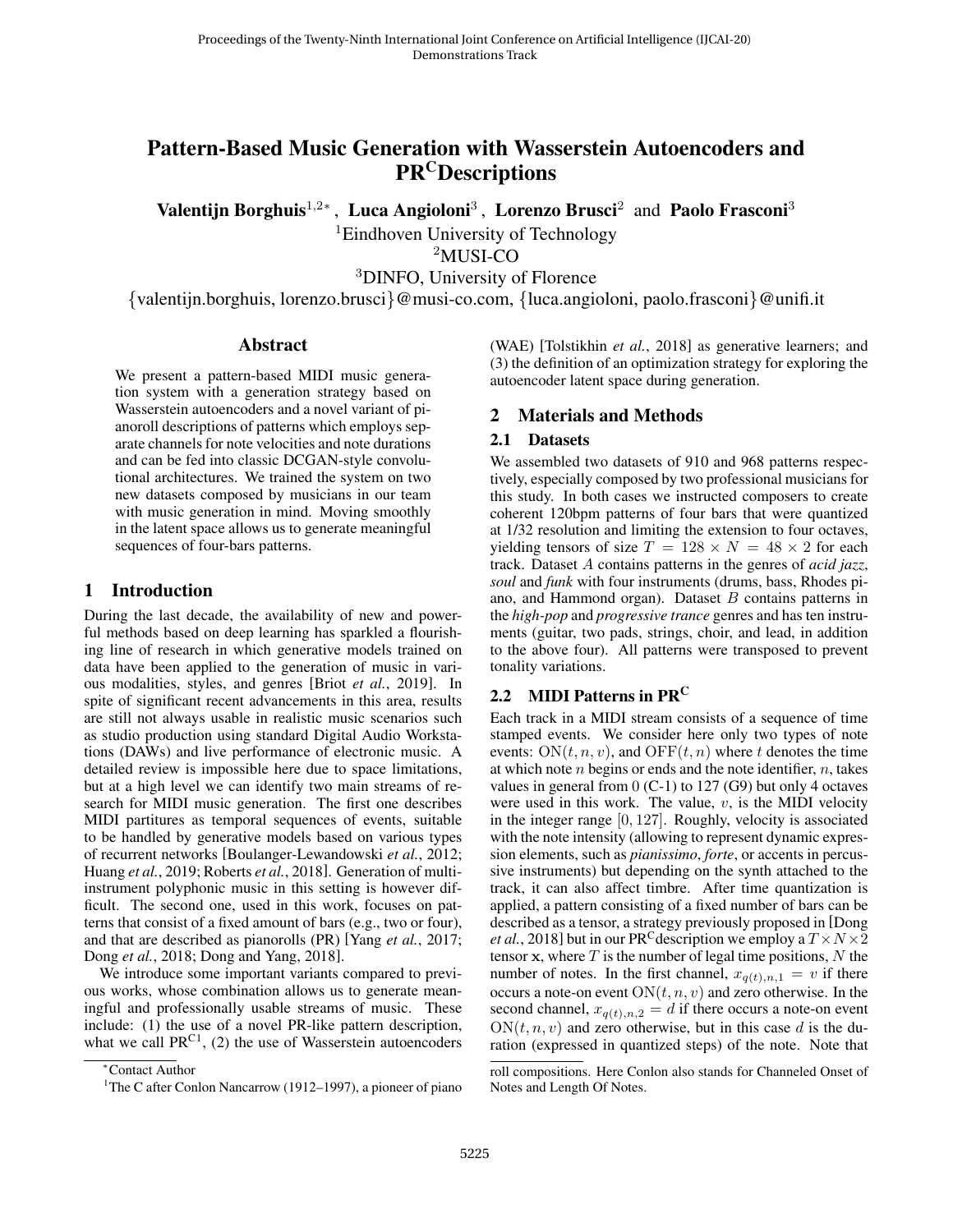# Pattern-Based Music Generation with Wasserstein Autoencoders and **PR<sup>C</sup>Descriptions**

Valentijn Borghuis<sup>1,2∗</sup>, Luca Angioloni<sup>3</sup>, Lorenzo Brusci<sup>2</sup> and Paolo Frasconi<sup>3</sup>

<sup>1</sup>Eindhoven University of Technology

<sup>2</sup>MUSI-CO

<sup>3</sup>DINFO, University of Florence

{valentijn.borghuis, lorenzo.brusci}@musi-co.com, {luca.angioloni, paolo.frasconi}@unifi.it

#### Abstract

We present a pattern-based MIDI music generation system with a generation strategy based on Wasserstein autoencoders and a novel variant of pianoroll descriptions of patterns which employs separate channels for note velocities and note durations and can be fed into classic DCGAN-style convolutional architectures. We trained the system on two new datasets composed by musicians in our team with music generation in mind. Moving smoothly in the latent space allows us to generate meaningful sequences of four-bars patterns.

### 1 Introduction

During the last decade, the availability of new and powerful methods based on deep learning has sparkled a flourishing line of research in which generative models trained on data have been applied to the generation of music in various modalities, styles, and genres [Briot *et al.*[, 2019\]](#page-2-0). In spite of significant recent advancements in this area, results are still not always usable in realistic music scenarios such as studio production using standard Digital Audio Workstations (DAWs) and live performance of electronic music. A detailed review is impossible here due to space limitations, but at a high level we can identify two main streams of research for MIDI music generation. The first one describes MIDI partitures as temporal sequences of events, suitable to be handled by generative models based on various types of recurrent networks [\[Boulanger-Lewandowski](#page-2-1) *et al.*, 2012; [Huang](#page-2-2) *et al.*, 2019; [Roberts](#page-2-3) *et al.*, 2018]. Generation of multiinstrument polyphonic music in this setting is however difficult. The second one, used in this work, focuses on patterns that consist of a fixed amount of bars (e.g., two or four), and that are described as pianorolls (PR) [Yang *et al.*[, 2017;](#page-2-4) Dong *et al.*[, 2018;](#page-2-5) [Dong and Yang, 2018\]](#page-2-6).

We introduce some important variants compared to previous works, whose combination allows us to generate meaningful and professionally usable streams of music. These include: (1) the use of a novel PR-like pattern description, what we call  $PR^{C1}$  $PR^{C1}$  $PR^{C1}$ , (2) the use of Wasserstein autoencoders (WAE) [\[Tolstikhin](#page-2-7) *et al.*, 2018] as generative learners; and (3) the definition of an optimization strategy for exploring the autoencoder latent space during generation.

### 2 Materials and Methods

#### 2.1 Datasets

We assembled two datasets of 910 and 968 patterns respectively, especially composed by two professional musicians for this study. In both cases we instructed composers to create coherent 120bpm patterns of four bars that were quantized at 1/32 resolution and limiting the extension to four octaves, yielding tensors of size  $T = 128 \times N = 48 \times 2$  for each track. Dataset A contains patterns in the genres of *acid jazz*, *soul* and *funk* with four instruments (drums, bass, Rhodes piano, and Hammond organ). Dataset  $B$  contains patterns in the *high-pop* and *progressive trance* genres and has ten instruments (guitar, two pads, strings, choir, and lead, in addition to the above four). All patterns were transposed to prevent tonality variations.

### 2.2 MIDI Patterns in PR<sup>C</sup>

Each track in a MIDI stream consists of a sequence of time stamped events. We consider here only two types of note events:  $ON(t, n, v)$ , and  $OFF(t, n)$  where t denotes the time at which note  $n$  begins or ends and the note identifier,  $n$ , takes values in general from  $0$  (C-1) to 127 (G9) but only 4 octaves were used in this work. The value,  $v$ , is the MIDI velocity in the integer range [0, 127]. Roughly, velocity is associated with the note intensity (allowing to represent dynamic expression elements, such as *pianissimo*, *forte*, or accents in percussive instruments) but depending on the synth attached to the track, it can also affect timbre. After time quantization is applied, a pattern consisting of a fixed number of bars can be described as a tensor, a strategy previously proposed in [\[Dong](#page-2-5) *et al.*[, 2018\]](#page-2-5) but in our PR<sup>C</sup> description we employ a  $T \times N \times 2$ tensor x, where  $T$  is the number of legal time positions,  $N$  the number of notes. In the first channel,  $x_{q(t),n,1} = v$  if there occurs a note-on event  $ON(t, n, v)$  and zero otherwise. In the second channel,  $x_{q(t),n,2} = d$  if there occurs a note-on event  $ON(t, n, v)$  and zero otherwise, but in this case d is the duration (expressed in quantized steps) of the note. Note that

<sup>∗</sup>Contact Author

<span id="page-0-0"></span><sup>&</sup>lt;sup>1</sup>The C after Conlon Nancarrow (1912–1997), a pioneer of piano

roll compositions. Here Conlon also stands for Channeled Onset of Notes and Length Of Notes.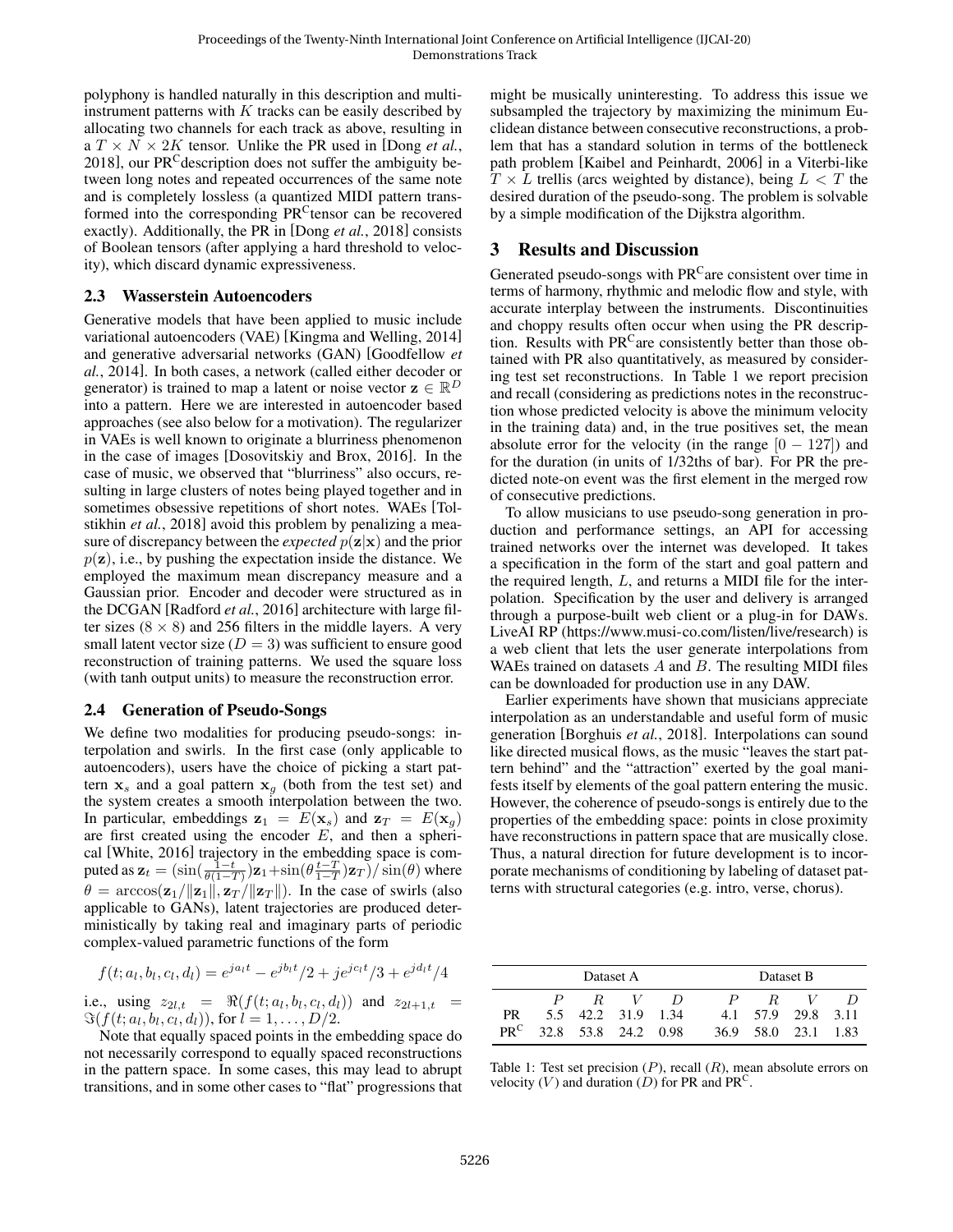polyphony is handled naturally in this description and multiinstrument patterns with  $K$  tracks can be easily described by allocating two channels for each track as above, resulting in a  $T \times N \times 2K$  tensor. Unlike the PR used in [\[Dong](#page-2-5) *et al.*, [2018\]](#page-2-5), our PR<sup>C</sup>description does not suffer the ambiguity between long notes and repeated occurrences of the same note and is completely lossless (a quantized MIDI pattern transformed into the corresponding PR<sup>C</sup>tensor can be recovered exactly). Additionally, the PR in [Dong *et al.*[, 2018\]](#page-2-5) consists of Boolean tensors (after applying a hard threshold to velocity), which discard dynamic expressiveness.

#### 2.3 Wasserstein Autoencoders

Generative models that have been applied to music include variational autoencoders (VAE) [\[Kingma and Welling, 2014\]](#page-2-8) and generative adversarial networks (GAN) [\[Goodfellow](#page-2-9) *et al.*[, 2014\]](#page-2-9). In both cases, a network (called either decoder or generator) is trained to map a latent or noise vector  $\mathbf{z} \in \mathbb{R}^D$ into a pattern. Here we are interested in autoencoder based approaches (see also below for a motivation). The regularizer in VAEs is well known to originate a blurriness phenomenon in the case of images [\[Dosovitskiy and Brox, 2016\]](#page-2-10). In the case of music, we observed that "blurriness" also occurs, resulting in large clusters of notes being played together and in sometimes obsessive repetitions of short notes. WAEs [\[Tol](#page-2-7)stikhin *et al.*[, 2018\]](#page-2-7) avoid this problem by penalizing a measure of discrepancy between the *expected*  $p(\mathbf{z}|\mathbf{x})$  and the prior  $p(\mathbf{z})$ , i.e., by pushing the expectation inside the distance. We employed the maximum mean discrepancy measure and a Gaussian prior. Encoder and decoder were structured as in the DCGAN [\[Radford](#page-2-11) *et al.*, 2016] architecture with large filter sizes ( $8 \times 8$ ) and 256 filters in the middle layers. A very small latent vector size  $(D = 3)$  was sufficient to ensure good reconstruction of training patterns. We used the square loss (with tanh output units) to measure the reconstruction error.

### 2.4 Generation of Pseudo-Songs

We define two modalities for producing pseudo-songs: interpolation and swirls. In the first case (only applicable to autoencoders), users have the choice of picking a start pattern  $x_s$  and a goal pattern  $x_g$  (both from the test set) and the system creates a smooth interpolation between the two. In particular, embeddings  $z_1 = E(x_s)$  and  $z_T = E(x_q)$ are first created using the encoder  $E$ , and then a spherical [\[White, 2016\]](#page-2-12) trajectory in the embedding space is computed as  $\mathbf{z}_t = (\sin(\frac{1-t}{\theta(1-T)})\mathbf{z}_1 + \sin(\theta \frac{t-T}{1-T})\mathbf{z}_T)/\sin(\theta)$  where  $\theta = \arccos(\mathbf{z}_1 / ||\mathbf{z}_1||, \mathbf{z}_T / ||\mathbf{z}_T ||)$ . In the case of swirls (also applicable to GANs), latent trajectories are produced deterministically by taking real and imaginary parts of periodic complex-valued parametric functions of the form

$$
f(t; a_l, b_l, c_l, d_l) = e^{ja_l t} - e^{jb_l t}/2 + je^{jc_l t}/3 + e^{jd_l t}/4
$$

i.e., using  $z_{2l,t} = \Re(f(t; a_l, b_l, c_l, d_l))$  and  $z_{2l+1,t} =$  $\Im(f(t; a_l, b_l, c_l, d_l))$ , for  $l = 1, ..., D/2$ .

Note that equally spaced points in the embedding space do not necessarily correspond to equally spaced reconstructions in the pattern space. In some cases, this may lead to abrupt transitions, and in some other cases to "flat" progressions that might be musically uninteresting. To address this issue we subsampled the trajectory by maximizing the minimum Euclidean distance between consecutive reconstructions, a problem that has a standard solution in terms of the bottleneck path problem [\[Kaibel and Peinhardt, 2006\]](#page-2-13) in a Viterbi-like  $T \times L$  trellis (arcs weighted by distance), being  $L < T$  the desired duration of the pseudo-song. The problem is solvable by a simple modification of the Dijkstra algorithm.

## 3 Results and Discussion

Generated pseudo-songs with  $PR<sup>C</sup>$  are consistent over time in terms of harmony, rhythmic and melodic flow and style, with accurate interplay between the instruments. Discontinuities and choppy results often occur when using the PR description. Results with PR<sup>C</sup>are consistently better than those obtained with PR also quantitatively, as measured by considering test set reconstructions. In Table [1](#page-1-0) we report precision and recall (considering as predictions notes in the reconstruction whose predicted velocity is above the minimum velocity in the training data) and, in the true positives set, the mean absolute error for the velocity (in the range  $[0 - 127]$ ) and for the duration (in units of 1/32ths of bar). For PR the predicted note-on event was the first element in the merged row of consecutive predictions.

To allow musicians to use pseudo-song generation in production and performance settings, an API for accessing trained networks over the internet was developed. It takes a specification in the form of the start and goal pattern and the required length, L, and returns a MIDI file for the interpolation. Specification by the user and delivery is arranged through a purpose-built web client or a plug-in for DAWs. LiveAI RP [\(https://www.musi-co.com/listen/live/research\)](https://www.musi-co.com/listen/live/research) is a web client that lets the user generate interpolations from WAEs trained on datasets  $A$  and  $B$ . The resulting MIDI files can be downloaded for production use in any DAW.

Earlier experiments have shown that musicians appreciate interpolation as an understandable and useful form of music generation [\[Borghuis](#page-2-14) *et al.*, 2018]. Interpolations can sound like directed musical flows, as the music "leaves the start pattern behind" and the "attraction" exerted by the goal manifests itself by elements of the goal pattern entering the music. However, the coherence of pseudo-songs is entirely due to the properties of the embedding space: points in close proximity have reconstructions in pattern space that are musically close. Thus, a natural direction for future development is to incorporate mechanisms of conditioning by labeling of dataset patterns with structural categories (e.g. intro, verse, chorus).

<span id="page-1-0"></span>

|        | Dataset A           |                    |         |     |              | Dataset B           |  |  |  |
|--------|---------------------|--------------------|---------|-----|--------------|---------------------|--|--|--|
|        |                     |                    | $R$ $V$ | -11 | $\mathbf{P}$ | R                   |  |  |  |
| PR.    |                     | 5.5 42.2 31.9 1.34 |         |     |              | 4.1 57.9 29.8 3.11  |  |  |  |
| $PR^C$ | 32.8 53.8 24.2 0.98 |                    |         |     |              | 36.9 58.0 23.1 1.83 |  |  |  |

Table 1: Test set precision  $(P)$ , recall  $(R)$ , mean absolute errors on velocity (V) and duration (D) for PR and PR<sup>C</sup>.